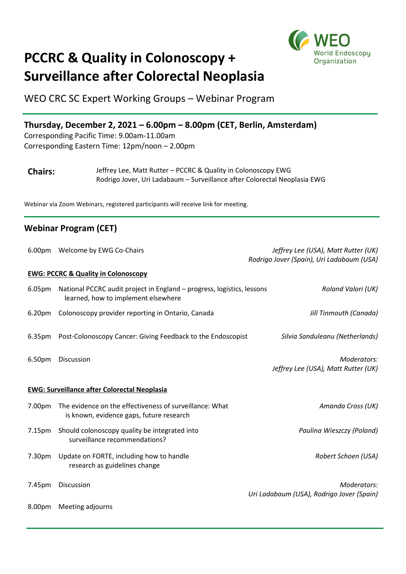

## **PCCRC & Quality in Colonoscopy + Surveillance after Colorectal Neoplasia**

WEO CRC SC Expert Working Groups – Webinar Program

## **Thursday, December 2, 2021 – 6.00pm – 8.00pm (CET, Berlin, Amsterdam)**

Corresponding Pacific Time: 9.00am-11.00am Corresponding Eastern Time: 12pm/noon – 2.00pm

| <b>Chairs:</b> | Jeffrey Lee, Matt Rutter - PCCRC & Quality in Colonoscopy EWG             |
|----------------|---------------------------------------------------------------------------|
|                | Rodrigo Jover, Uri Ladabaum – Surveillance after Colorectal Neoplasia EWG |

Webinar via Zoom Webinars, registered participants will receive link for meeting.

## **Webinar Program (CET)**

|                                                     | 6.00pm Welcome by EWG Co-Chairs                                                                               | Jeffrey Lee (USA), Matt Rutter (UK)<br>Rodrigo Jover (Spain), Uri Ladabaum (USA) |  |
|-----------------------------------------------------|---------------------------------------------------------------------------------------------------------------|----------------------------------------------------------------------------------|--|
| <b>EWG: PCCRC &amp; Quality in Colonoscopy</b>      |                                                                                                               |                                                                                  |  |
| 6.05 <sub>pm</sub>                                  | National PCCRC audit project in England - progress, logistics, lessons<br>learned, how to implement elsewhere | Roland Valori (UK)                                                               |  |
| 6.20 <sub>pm</sub>                                  | Colonoscopy provider reporting in Ontario, Canada                                                             | Jill Tinmouth (Canada)                                                           |  |
| 6.35 <sub>pm</sub>                                  | Post-Colonoscopy Cancer: Giving Feedback to the Endoscopist                                                   | Silvia Sanduleanu (Netherlands)                                                  |  |
| 6.50pm                                              | Discussion                                                                                                    | Moderators:<br>Jeffrey Lee (USA), Matt Rutter (UK)                               |  |
| <b>EWG: Surveillance after Colorectal Neoplasia</b> |                                                                                                               |                                                                                  |  |
| 7.00pm                                              | The evidence on the effectiveness of surveillance: What<br>is known, evidence gaps, future research           | Amanda Cross (UK)                                                                |  |
| 7.15 <sub>pm</sub>                                  | Should colonoscopy quality be integrated into<br>surveillance recommendations?                                | Paulina Wieszczy (Poland)                                                        |  |
| 7.30pm                                              | Update on FORTE, including how to handle<br>research as guidelines change                                     | Robert Schoen (USA)                                                              |  |
| 7.45pm                                              | Discussion                                                                                                    | Moderators:<br>Uri Ladabaum (USA), Rodrigo Jover (Spain)                         |  |
| 8.00pm                                              | Meeting adjourns                                                                                              |                                                                                  |  |